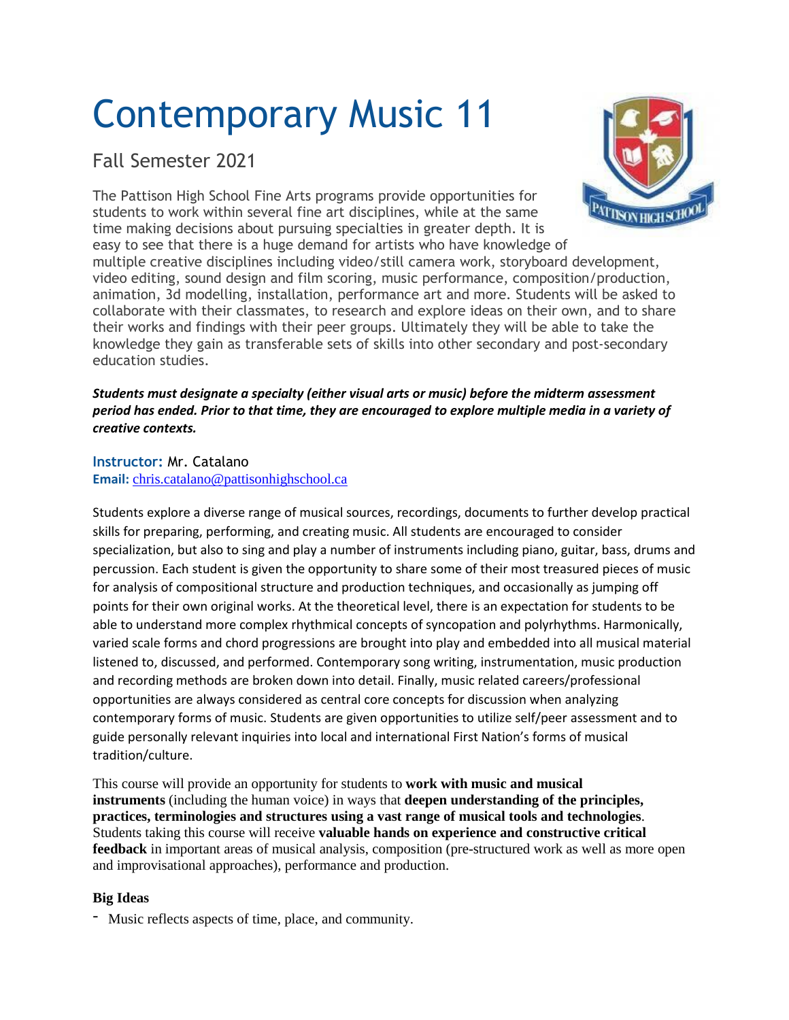# Contemporary Music 11

# Fall Semester 2021

The Pattison High School Fine Arts programs provide opportunities for students to work within several fine art disciplines, while at the same time making decisions about pursuing specialties in greater depth. It is easy to see that there is a huge demand for artists who have knowledge of



multiple creative disciplines including video/still camera work, storyboard development, video editing, sound design and film scoring, music performance, composition/production, animation, 3d modelling, installation, performance art and more. Students will be asked to collaborate with their classmates, to research and explore ideas on their own, and to share their works and findings with their peer groups. Ultimately they will be able to take the knowledge they gain as transferable sets of skills into other secondary and post-secondary education studies.

## *Students must designate a specialty (either visual arts or music) before the midterm assessment* period has ended. Prior to that time, they are encouraged to explore multiple media in a variety of *creative contexts.*

## **Instructor:** Mr. Catalano **Email:** [chris.catalano@pattisonhighschool.ca](mailto:chris.catalano@pattisonhighschool.ca)

Students explore a diverse range of musical sources, recordings, documents to further develop practical skills for preparing, performing, and creating music. All students are encouraged to consider specialization, but also to sing and play a number of instruments including piano, guitar, bass, drums and percussion. Each student is given the opportunity to share some of their most treasured pieces of music for analysis of compositional structure and production techniques, and occasionally as jumping off points for their own original works. At the theoretical level, there is an expectation for students to be able to understand more complex rhythmical concepts of syncopation and polyrhythms. Harmonically, varied scale forms and chord progressions are brought into play and embedded into all musical material listened to, discussed, and performed. Contemporary song writing, instrumentation, music production and recording methods are broken down into detail. Finally, music related careers/professional opportunities are always considered as central core concepts for discussion when analyzing contemporary forms of music. Students are given opportunities to utilize self/peer assessment and to guide personally relevant inquiries into local and international First Nation's forms of musical tradition/culture.

This course will provide an opportunity for students to **work with music and musical instruments** (including the human voice) in ways that **deepen understanding of the principles, practices, terminologies and structures using a vast range of musical tools and technologies**. Students taking this course will receive **valuable hands on experience and constructive critical feedback** in important areas of musical analysis, composition (pre-structured work as well as more open and improvisational approaches), performance and production.

# **Big Ideas**

- Music reflects aspects of time, place, and community.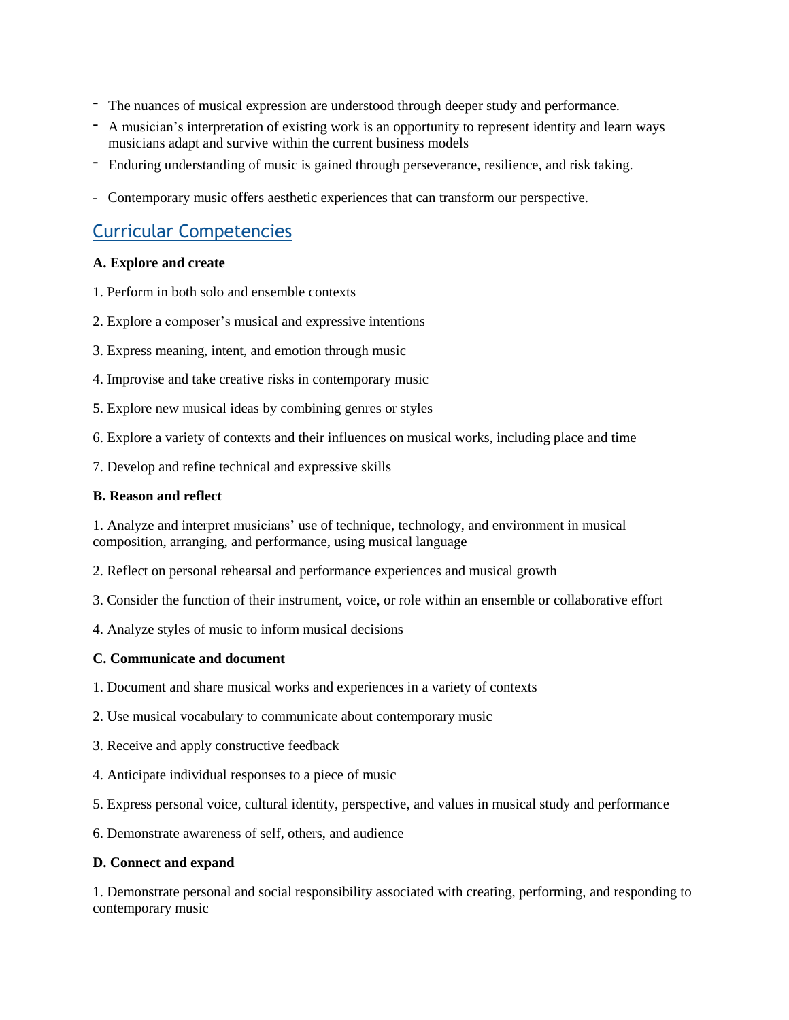- The nuances of musical expression are understood through deeper study and performance.
- A musician's interpretation of existing work is an opportunity to represent identity and learn ways musicians adapt and survive within the current business models
- Enduring understanding of music is gained through perseverance, resilience, and risk taking.
- Contemporary music offers aesthetic experiences that can transform our perspective.

# Curricular Competencies

#### **A. Explore and create**

- 1. Perform in both solo and ensemble contexts
- 2. Explore a composer's musical and expressive intentions
- 3. Express meaning, intent, and emotion through music
- 4. Improvise and take creative risks in contemporary music
- 5. Explore new musical ideas by combining genres or styles
- 6. Explore a variety of contexts and their influences on musical works, including place and time
- 7. Develop and refine technical and expressive skills

#### **B. Reason and reflect**

1. Analyze and interpret musicians' use of technique, technology, and environment in musical composition, arranging, and performance, using musical language

- 2. Reflect on personal rehearsal and performance experiences and musical growth
- 3. Consider the function of their instrument, voice, or role within an ensemble or collaborative effort
- 4. Analyze styles of music to inform musical decisions

## **C. Communicate and document**

- 1. Document and share musical works and experiences in a variety of contexts
- 2. Use musical vocabulary to communicate about contemporary music
- 3. Receive and apply constructive feedback
- 4. Anticipate individual responses to a piece of music
- 5. Express personal voice, cultural identity, perspective, and values in musical study and performance
- 6. Demonstrate awareness of self, others, and audience

#### **D. Connect and expand**

1. Demonstrate personal and social responsibility associated with creating, performing, and responding to contemporary music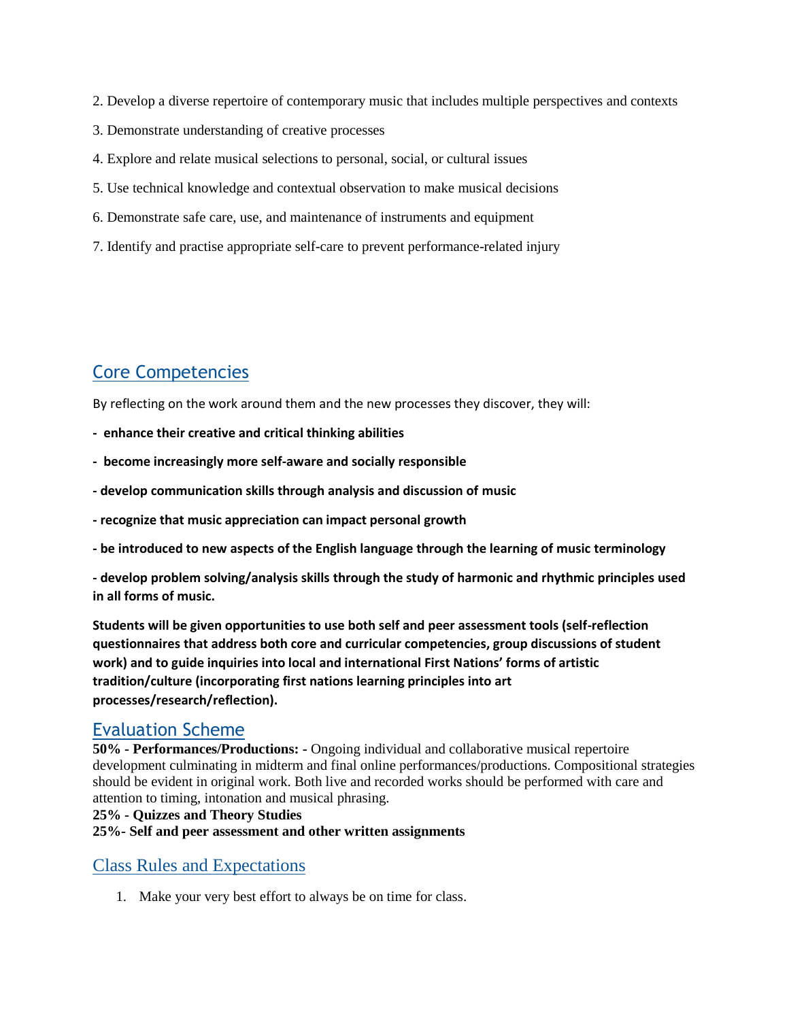- 2. Develop a diverse repertoire of contemporary music that includes multiple perspectives and contexts
- 3. Demonstrate understanding of creative processes
- 4. Explore and relate musical selections to personal, social, or cultural issues
- 5. Use technical knowledge and contextual observation to make musical decisions
- 6. Demonstrate safe care, use, and maintenance of instruments and equipment
- 7. Identify and practise appropriate self-care to prevent performance-related injury

# Core Competencies

By reflecting on the work around them and the new processes they discover, they will:

- **enhance their creative and critical thinking abilities**
- **become increasingly more self-aware and socially responsible**
- **- develop communication skills through analysis and discussion of music**
- **- recognize that music appreciation can impact personal growth**
- **- be introduced to new aspects of the English language through the learning of music terminology**

**- develop problem solving/analysis skills through the study of harmonic and rhythmic principles used in all forms of music.**

**Students will be given opportunities to use both self and peer assessment tools (self-reflection questionnaires that address both core and curricular competencies, group discussions of student work) and to guide inquiries into local and international First Nations' forms of artistic tradition/culture (incorporating first nations learning principles into art processes/research/reflection).** 

# Evaluation Scheme

**50% - Performances/Productions: -** Ongoing individual and collaborative musical repertoire development culminating in midterm and final online performances/productions. Compositional strategies should be evident in original work. Both live and recorded works should be performed with care and attention to timing, intonation and musical phrasing.

## **25% - Quizzes and Theory Studies**

**25%- Self and peer assessment and other written assignments**

# Class Rules and Expectations

1. Make your very best effort to always be on time for class.